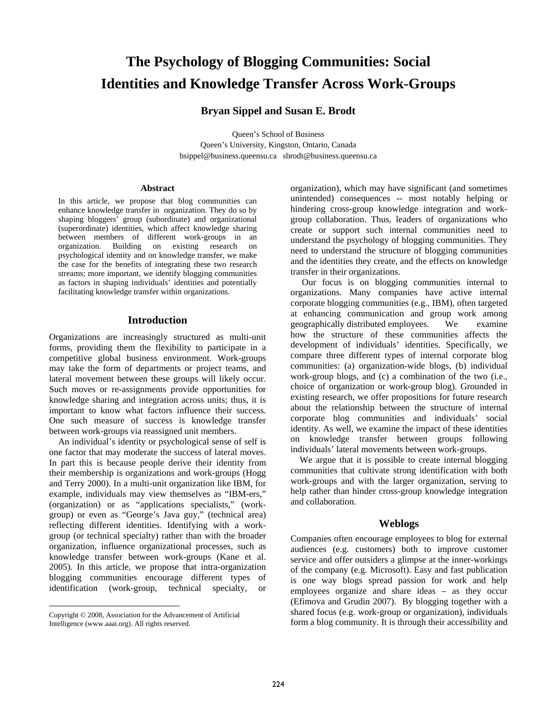# **The Psychology of Blogging Communities: Social Identities and Knowledge Transfer Across Work-Groups**

# **Bryan Sippel and Susan E. Brodt**

Queen's School of Business Queen's University, Kingston, Ontario, Canada bsippel@business.queensu.ca sbrodt@business.queensu.ca

#### **Abstract**

In this article, we propose that blog communities can enhance knowledge transfer in organization. They do so by shaping bloggers' group (subordinate) and organizational (superordinate) identities, which affect knowledge sharing between members of different work-groups in an organization. Building on existing research on psychological identity and on knowledge transfer, we make the case for the benefits of integrating these two research streams; more important, we identify blogging communities as factors in shaping individuals' identities and potentially facilitating knowledge transfer within organizations.

#### **Introduction**

Organizations are increasingly structured as multi-unit forms, providing them the flexibility to participate in a competitive global business environment. Work-groups may take the form of departments or project teams, and lateral movement between these groups will likely occur. Such moves or re-assignments provide opportunities for knowledge sharing and integration across units; thus, it is important to know what factors influence their success. One such measure of success is knowledge transfer between work-groups via reassigned unit members.

 An individual's identity or psychological sense of self is one factor that may moderate the success of lateral moves. In part this is because people derive their identity from their membership is organizations and work-groups (Hogg and Terry 2000). In a multi-unit organization like IBM, for example, individuals may view themselves as "IBM-ers," (organization) or as "applications specialists," (workgroup) or even as "George's Java guy," (technical area) reflecting different identities. Identifying with a workgroup (or technical specialty) rather than with the broader organization, influence organizational processes, such as knowledge transfer between work-groups (Kane et al. 2005). In this article, we propose that intra-organization blogging communities encourage different types of identification (work-group, technical specialty, or

 $\overline{a}$ 

organization), which may have significant (and sometimes unintended) consequences -- most notably helping or hindering cross-group knowledge integration and workgroup collaboration. Thus, leaders of organizations who create or support such internal communities need to understand the psychology of blogging communities. They need to understand the structure of blogging communities and the identities they create, and the effects on knowledge transfer in their organizations.

 Our focus is on blogging communities internal to organizations. Many companies have active internal corporate blogging communities (e.g., IBM), often targeted at enhancing communication and group work among geographically distributed employees. We examine how the structure of these communities affects the development of individuals' identities. Specifically, we compare three different types of internal corporate blog communities: (a) organization-wide blogs, (b) individual work-group blogs, and (c) a combination of the two (i.e., choice of organization or work-group blog). Grounded in existing research, we offer propositions for future research about the relationship between the structure of internal corporate blog communities and individuals' social identity. As well, we examine the impact of these identities on knowledge transfer between groups following individuals' lateral movements between work-groups.

We argue that it is possible to create internal blogging communities that cultivate strong identification with both work-groups and with the larger organization, serving to help rather than hinder cross-group knowledge integration and collaboration.

# **Weblogs**

Companies often encourage employees to blog for external audiences (e.g. customers) both to improve customer service and offer outsiders a glimpse at the inner-workings of the company (e.g. Microsoft). Easy and fast publication is one way blogs spread passion for work and help employees organize and share ideas – as they occur (Efimova and Grudin 2007). By blogging together with a shared focus (e.g. work-group or organization), individuals form a blog community. It is through their accessibility and

Copyright © 2008, Association for the Advancement of Artificial Intelligence (www.aaai.org). All rights reserved.